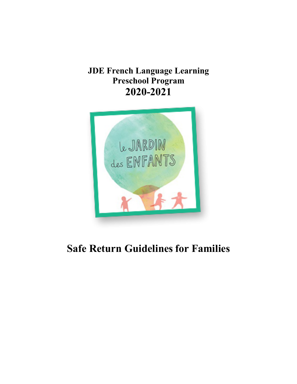# **JDE French Language Learning Preschool Program 2020-2021**



# **Safe Return Guidelines for Families**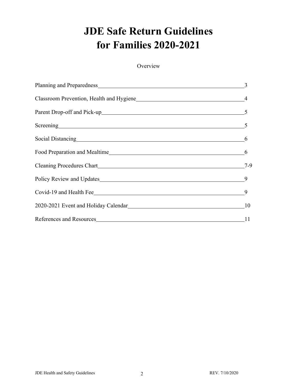# **JDE Safe Return Guidelines for Families 2020-2021**

**Overview** 

| Classroom Prevention, Health and Hygiene 44                                                                    |                |
|----------------------------------------------------------------------------------------------------------------|----------------|
|                                                                                                                |                |
| Screening 5                                                                                                    |                |
| Social Distancing Manual Communication of the Social Distancing Manual Communication of the Social Association | 6              |
| Food Preparation and Mealtime <u>6</u>                                                                         |                |
|                                                                                                                | $7-9$          |
|                                                                                                                |                |
| Covid-19 and Health Fee                                                                                        | $\overline{9}$ |
|                                                                                                                | 10             |
| References and Resources                                                                                       | 11             |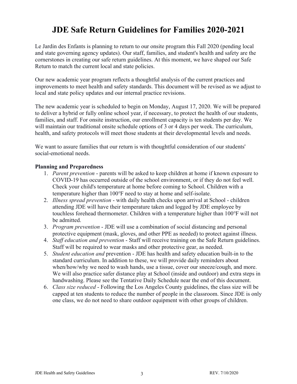# **JDE Safe Return Guidelines for Families 2020-2021**

Le Jardin des Enfants is planning to return to our onsite program this Fall 2020 (pending local and state governing agency updates). Our staff, families, and student's health and safety are the cornerstones in creating our safe return guidelines. At this moment, we have shaped our Safe Return to match the current local and state policies.

Our new academic year program reflects a thoughtful analysis of the current practices and improvements to meet health and safety standards. This document will be revised as we adjust to local and state policy updates and our internal practice revisions.

The new academic year is scheduled to begin on Monday, August 17, 2020. We will be prepared to deliver a hybrid or fully online school year, if necessary, to protect the health of our students, families, and staff. For onsite instruction, our enrollment capacity is ten students per day. We will maintain our traditional onsite schedule options of 3 or 4 days per week. The curriculum, health, and safety protocols will meet those students at their developmental levels and needs.

We want to assure families that our return is with thoughtful consideration of our students' social-emotional needs.

#### **Planning and Preparedness**

- 1. *Parent prevention* parents will be asked to keep children at home if known exposure to COVID-19 has occurred outside of the school environment, or if they do not feel well. Check your child's temperature at home before coming to School. Children with a temperature higher than 100°F need to stay at home and self-isolate.
- 2. *Illness spread prevention* with daily health checks upon arrival at School children attending JDE will have their temperature taken and logged by JDE employee by touchless forehead thermometer. Children with a temperature higher than 100℉ will not be admitted.
- 3. *Program prevention* JDE will use a combination of social distancing and personal protective equipment (mask, gloves, and other PPE as needed) to protect against illness.
- 4. *Staff education and prevention* Staff will receive training on the Safe Return guidelines. Staff will be required to wear masks and other protective gear, as needed.
- 5. *Student education and* prevention JDE has health and safety education built-in to the standard curriculum. In addition to these, we will provide daily reminders about when/how/why we need to wash hands, use a tissue, cover our sneeze/cough, and more. We will also practice safer distance play at School (inside and outdoor) and extra steps in handwashing. Please see the Tentative Daily Schedule near the end of this document.
- 6. *Class size reduced* Following the Los Angeles County guidelines, the class size will be capped at ten students to reduce the number of people in the classroom. Since JDE is only one class, we do not need to share outdoor equipment with other groups of children.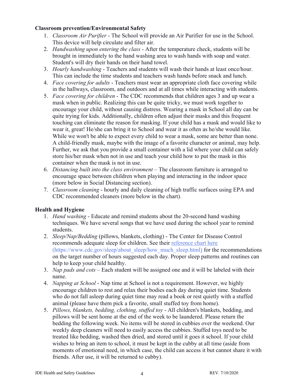#### **Classroom prevention/Environmental Safety**

- 1. *Classroom Air Purifier* The School will provide an Air Purifier for use in the School. This device will help circulate and filter air.
- 2. *Handwashing upon entering the class*  After the temperature check, students will be brought in immediately to the hand washing area to wash hands with soap and water. Student's will dry their hands on their hand towel.
- 3. *Hourly handwashing* Teachers and students will wash their hands at least once/hour. This can include the time students and teachers wash hands before snack and lunch.
- 4. *Face covering for adults* Teachers must wear an appropriate cloth face covering while in the hallways, classroom, and outdoors and at all times while interacting with students.
- 5. *Face covering for children* The CDC recommends that children ages 3 and up wear a mask when in public. Realizing this can be quite tricky, we must work together to encourage your child, without causing distress. Wearing a mask in School all day can be quite trying for kids. Additionally, children often adjust their masks and this frequent touching can eliminate the reason for masking. If your child has a mask and would like to wear it, great! He/she can bring it to School and wear it as often as he/she would like. While we won't be able to expect every child to wear a mask, some are better than none. A child-friendly mask, maybe with the image of a favorite character or animal, may help. Further, we ask that you provide a small container with a lid where your child can safely store his/her mask when not in use and teach your child how to put the mask in this container when the mask is not in use.
- 6. *Distancing built into the class environment*  The classroom furniture is arranged to encourage space between children when playing and interacting in the indoor space (more below in Social Distancing section).
- 7. *Classroom cleaning* hourly and daily cleaning of high traffic surfaces using EPA and CDC recommended cleaners (more below in the chart).

## **Health and Hygiene**

- 1. *Hand washing* Educate and remind students about the 20-second hand washing techniques. We have several songs that we have used during the school year to remind students.
- 2. *Sleep/Nap/Bedding* (pillows, blankets, clothing) The Center for Disease Control recommends adequate sleep for children. See their reference chart here (https://www.cdc.gov/sleep/about\_sleep/how\_much\_sleep.html) for the recommendations on the target number of hours suggested each day. Proper sleep patterns and routines can help to keep your child healthy.
- 3. *Nap pads and cots* Each student will be assigned one and it will be labeled with their name.
- 4. *Napping at School* Nap time at School is not a requirement. However, we highly encourage children to rest and relax their bodies each day during quiet time. Students who do not fall asleep during quiet time may read a book or rest quietly with a stuffed animal (please have them pick a favorite, small stuffed toy from home).
- 5. *Pillows, blankets, bedding, clothing, stuffed toy* All children's blankets, bedding, and pillows will be sent home at the end of the week to be laundered. Please return the bedding the following week. No items will be stored in cubbies over the weekend. Our weekly deep cleaners will need to easily access the cubbies. Stuffed toys need to be treated like bedding, washed then dried, and stored until it goes it school. If your child wishes to bring an item to school, it must be kept in the cubby at all time (aside from moments of emotional need, in which case, the child can access it but cannot share it with friends. After use, it will be returned to cubby).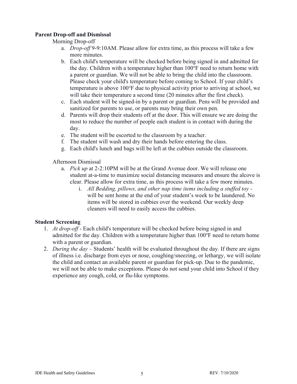#### **Parent Drop-off and Dismissal**

#### Morning Drop-off

- a. *Drop-off* 9-9:10AM. Please allow for extra time, as this process will take a few more minutes.
- b. Each child's temperature will be checked before being signed in and admitted for the day. Children with a temperature higher than 100℉ need to return home with a parent or guardian. We will not be able to bring the child into the classroom. Please check your child's temperature before coming to School. If your child's temperature is above 100℉ due to physical activity prior to arriving at school, we will take their temperature a second time (20 minutes after the first check).
- c. Each student will be signed-in by a parent or guardian. Pens will be provided and sanitized for parents to use, or parents may bring their own pen.
- d. Parents will drop their students off at the door. This will ensure we are doing the most to reduce the number of people each student is in contact with during the day.
- e. The student will be escorted to the classroom by a teacher.
- f. The student will wash and dry their hands before entering the class.
- g. Each child's lunch and bags will be left at the cubbies outside the classroom.

Afternoon Dismissal

- a. *Pick up* at 2-2:10PM will be at the Grand Avenue door. We will release one student at-a-time to maximize social distancing measures and ensure the alcove is clear. Please allow for extra time, as this process will take a few more minutes.
	- i. *All Bedding, pillows, and other nap time items including a stuffed toy*  will be sent home at the end of your student's week to be laundered. No items will be stored in cubbies over the weekend. Our weekly deep cleaners will need to easily access the cubbies.

#### **Student Screening**

- 1. *At drop-off* Each child's temperature will be checked before being signed in and admitted for the day. Children with a temperature higher than 100°F need to return home with a parent or guardian.
- 2. *During the day* Students' health will be evaluated throughout the day. If there are signs of illness i.e. discharge from eyes or nose, coughing/sneezing, or lethargy, we will isolate the child and contact an available parent or guardian for pick-up. Due to the pandemic, we will not be able to make exceptions. Please do not send your child into School if they experience any cough, cold, or flu-like symptoms.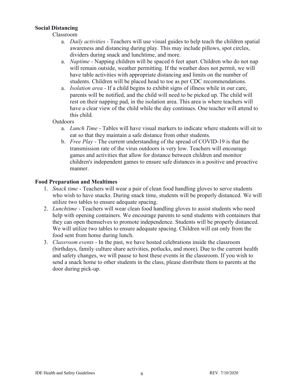#### **Social Distancing**

#### Classroom

- a. *Daily activities* Teachers will use visual guides to help teach the children spatial awareness and distancing during play. This may include pillows, spot circles, dividers during snack and lunchtime, and more.
- a. *Naptime* Napping children will be spaced 6 feet apart. Children who do not nap will remain outside, weather permitting. If the weather does not permit, we will have table activities with appropriate distancing and limits on the number of students. Children will be placed head to toe as per CDC recommendations.
- a. *Isolation area -* If a child begins to exhibit signs of illness while in our care, parents will be notified, and the child will need to be picked up. The child will rest on their napping pad, in the isolation area. This area is where teachers will have a clear view of the child while the day continues. One teacher will attend to this child.

#### Outdoors

- a. *Lunch Time* Tables will have visual markers to indicate where students will sit to eat so that they maintain a safe distance from other students.
- b. *Free Play* The current understanding of the spread of COVID-19 is that the transmission rate of the virus outdoors is very low. Teachers will encourage games and activities that allow for distance between children and monitor children's independent games to ensure safe distances in a positive and proactive manner.

#### **Food Preparation and Mealtimes**

- 1. *Snack time* Teachers will wear a pair of clean food handling gloves to serve students who wish to have snacks. During snack time, students will be properly distanced. We will utilize two tables to ensure adequate spacing.
- 2. *Lunchtime* Teachers will wear clean food handling gloves to assist students who need help with opening containers. We encourage parents to send students with containers that they can open themselves to promote independence. Students will be properly distanced. We will utilize two tables to ensure adequate spacing. Children will eat only from the food sent from home during lunch.
- 3. *Classroom events* In the past, we have hosted celebrations inside the classroom (birthdays, family culture share activities, potlucks, and more). Due to the current health and safety changes, we will pause to host these events in the classroom. If you wish to send a snack home to other students in the class, please distribute them to parents at the door during pick-up.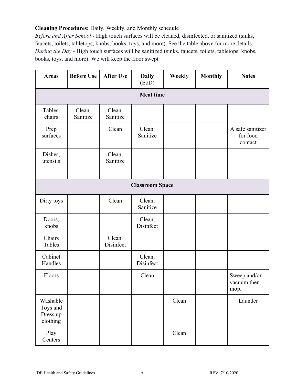# **Cleaning Procedures:** Daily, Weekly, and Monthly schedule

*Before and After School* - High touch surfaces will be cleaned, disinfected, or sanitized (sinks, faucets, toilets, tabletops, knobs, books, toys, and more). See the table above for more details. *During the Day* - High touch surfaces will be sanitized (sinks, faucets, toilets, tabletops, knobs, books, toys, and more). We will keep the floor swept

| <b>Areas</b>                                 | <b>Before Use</b>      | <b>After Use</b>    | <b>Daily</b><br>(EoD) | Weekly | <b>Monthly</b> | <b>Notes</b>                            |
|----------------------------------------------|------------------------|---------------------|-----------------------|--------|----------------|-----------------------------------------|
|                                              | <b>Meal time</b>       |                     |                       |        |                |                                         |
| Tables,<br>chairs                            | Clean,<br>Sanitize     | Clean,<br>Sanitize  |                       |        |                |                                         |
| Prep<br>surfaces                             |                        | Clean               | Clean,<br>Sanitize    |        |                | A safe sanitizer<br>for food<br>contact |
| Dishes,<br>utensils                          |                        | Clean,<br>Sanitize  |                       |        |                |                                         |
|                                              |                        |                     |                       |        |                |                                         |
|                                              | <b>Classroom Space</b> |                     |                       |        |                |                                         |
| Dirty toys                                   |                        | Clean               | Clean,<br>Sanitize    |        |                |                                         |
| Doors,<br>knobs                              |                        |                     | Clean,<br>Disinfect   |        |                |                                         |
| Chairs<br>Tables                             |                        | Clean,<br>Disinfect |                       |        |                |                                         |
| Cabinet<br>Handles                           |                        |                     | Clean,<br>Disinfect   |        |                |                                         |
| Floors                                       |                        |                     | Clean                 |        |                | Sweep and/or<br>vacuum then<br>mop.     |
| Washable<br>Toys and<br>Dress up<br>clothing |                        |                     |                       | Clean  |                | Launder                                 |
| Play<br>Centers                              |                        |                     |                       | Clean  |                |                                         |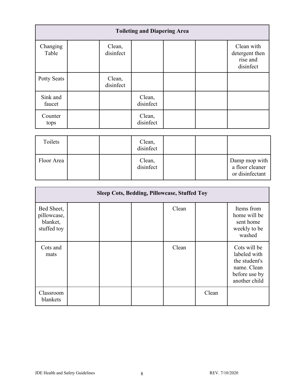| <b>Toileting and Diapering Area</b> |                     |                     |  |  |                                                       |
|-------------------------------------|---------------------|---------------------|--|--|-------------------------------------------------------|
| Changing<br>Table                   | Clean,<br>disinfect |                     |  |  | Clean with<br>detergent then<br>rise and<br>disinfect |
| <b>Potty Seats</b>                  | Clean,<br>disinfect |                     |  |  |                                                       |
| Sink and<br>faucet                  |                     | Clean,<br>disinfect |  |  |                                                       |
| Counter<br>tops                     |                     | Clean,<br>disinfect |  |  |                                                       |

| Toilets    |  | Clean,<br>disinfect |  |                                                     |
|------------|--|---------------------|--|-----------------------------------------------------|
| Floor Area |  | Clean,<br>disinfect |  | Damp mop with<br>a floor cleaner<br>or disinfectant |

| <b>Sleep Cots, Bedding, Pillowcase, Stuffed Toy</b>  |  |  |  |       |       |                                                                                                |
|------------------------------------------------------|--|--|--|-------|-------|------------------------------------------------------------------------------------------------|
| Bed Sheet,<br>pillowcase,<br>blanket,<br>stuffed toy |  |  |  | Clean |       | Items from<br>home will be<br>sent home<br>weekly to be<br>washed                              |
| Cots and<br>mats                                     |  |  |  | Clean |       | Cots will be<br>labeled with<br>the student's<br>name. Clean<br>before use by<br>another child |
| Classroom<br>blankets                                |  |  |  |       | Clean |                                                                                                |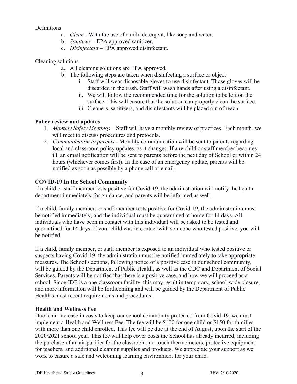#### **Definitions**

- a. *Clean* With the use of a mild detergent, like soap and water.
- b. *Sanitizer* EPA approved sanitizer.
- c. *Disinfectant* EPA approved disinfectant.

### Cleaning solutions

- a. All cleaning solutions are EPA approved.
- b. The following steps are taken when disinfecting a surface or object
	- i. Staff will wear disposable gloves to use disinfectant. Those gloves will be discarded in the trash. Staff will wash hands after using a disinfectant.
	- ii. We will follow the recommended time for the solution to be left on the surface. This will ensure that the solution can properly clean the surface.
	- iii. Cleaners, sanitizers, and disinfectants will be placed out of reach.

## **Policy review and updates**

- 1. *Monthly Safety Meetings* Staff will have a monthly review of practices. Each month, we will meet to discuss procedures and protocols.
- 2. *Communication to parents -* Monthly communication will be sent to parents regarding local and classroom policy updates, as it changes. If any child or staff member becomes ill, an email notification will be sent to parents before the next day of School or within 24 hours (whichever comes first). In the case of an emergency update, parents will be notified as soon as possible by a phone call or email.

## **COVID-19 In the School Community**

If a child or staff member tests positive for Covid-19, the administration will notify the health department immediately for guidance, and parents will be informed as well.

If a child, family member, or staff member tests positive for Covid-19, the administration must be notified immediately, and the individual must be quarantined at home for 14 days. All individuals who have been in contact with this individual will be asked to be tested and quarantined for 14 days. If your child was in contact with someone who tested positive, you will be notified.

If a child, family member, or staff member is exposed to an individual who tested positive or suspects having Covid-19, the administration must be notified immediately to take appropriate measures. The School's actions, following notice of a positive case in our school community, will be guided by the Department of Public Health, as well as the CDC and Department of Social Services. Parents will be notified that there is a positive case, and how we will proceed as a school. Since JDE is a one-classroom facility, this may result in temporary, school-wide closure, and more information will be forthcoming and will be guided by the Department of Public Health's most recent requirements and procedures.

#### **Health and Wellness Fee**

Due to an increase in costs to keep our school community protected from Covid-19, we must implement a Health and Wellness Fee. The fee will be \$100 for one child or \$150 for families with more than one child enrolled. This fee will be due at the end of August, upon the start of the 2020/2021 school year. This fee will help cover costs the School has already incurred, including the purchase of an air purifier for the classroom, no-touch thermometers, protective equipment for teachers, and additional cleaning supplies and products. We appreciate your support as we work to ensure a safe and welcoming learning environment for your child.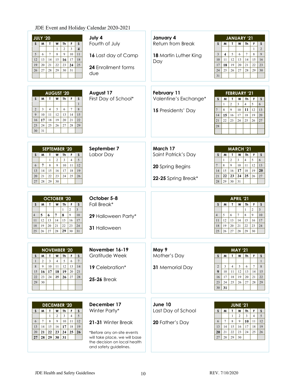# JDE Event and Holiday Calendar 2020-2021

| <b>JULY '20</b><br>M<br>W<br>Th<br>F<br>S<br>S.<br>T<br>$\overline{\mathbf{4}}$<br>$\overline{2}$<br>$\overline{3}$<br>$\mathbf{1}$<br>$\tau$<br>$\,8\,$<br>9<br>10<br>5<br>6<br>11<br>16<br>12<br>13<br>14<br>15<br>17<br>18<br>21<br>22<br>23<br>24<br>20<br>25<br>19<br>28<br>29<br>30<br>26<br>27<br>31                                                   | July 4<br>Fourth of July<br>16 Last day of Camp<br><b>24 Enrollment forms</b><br>due                                                                                        | January 4<br>Return from Break<br>18 Martin Luther King<br>Day             | <b>JANUARY '21</b><br>M<br>$\mathbf{I}$<br>W<br>Th  <br>S.<br>F.<br>S<br>$\overline{2}$<br>$\mathbf{1}$<br>$\,8\,$<br>$\mathbf{3}$<br>$\overline{\mathbf{4}}$<br>5<br>6<br>$\tau$<br>9<br>11<br>12<br>13<br>14<br>15<br>10<br>16<br>21<br>17<br>18<br>19<br>20<br>22<br>23<br>24<br>25<br>27<br>28<br>26<br>29<br>30<br>31                           |
|---------------------------------------------------------------------------------------------------------------------------------------------------------------------------------------------------------------------------------------------------------------------------------------------------------------------------------------------------------------|-----------------------------------------------------------------------------------------------------------------------------------------------------------------------------|----------------------------------------------------------------------------|------------------------------------------------------------------------------------------------------------------------------------------------------------------------------------------------------------------------------------------------------------------------------------------------------------------------------------------------------|
| <b>AUGUST '20</b><br>M<br>W<br>$\mathsf{Th}$<br>F<br>$\boldsymbol{\mathsf{S}}$<br>S<br>$\mathbf{I}$<br>$\mathbf{1}$<br>5<br>$\overline{7}$<br>$\mathbf{3}$<br>$\overline{4}$<br>6<br>8<br>2<br>12<br>9<br>10<br>11<br>13<br>14<br>15<br>18<br>19<br>22<br>17<br>20<br>21<br>16<br>24<br>25<br>26<br>27<br>29<br>23<br>28<br>31<br>30                          | August 17<br>First Day of School*                                                                                                                                           | <b>February 11</b><br>Valentine's Exchange*<br>15 Presidents' Day          | <b>FEBRUARY '21</b><br>M<br>$\pmb{\mathsf{W}}$<br>S.<br>$\mathbf{T}$<br>Th<br>F.<br>$\mathsf{s}$<br>$\overline{2}$<br>5<br>$\overline{3}$<br>$\overline{4}$<br>6<br>$\mathbf{1}$<br>8<br>9<br>$10\,$<br>12<br>11<br>13<br>$7\phantom{.0}$<br>15<br>17<br>14<br>16<br>18<br>19<br>20<br>22<br>21<br>23<br>24<br>25<br>26<br>27<br>28                  |
| <b>SEPTEMBER '20</b><br>M<br>$\mathbf{T}$<br>Th<br>S<br>S<br>W<br>F<br>5<br>$\overline{2}$<br>$\overline{\mathbf{3}}$<br>$\mathbf{1}$<br>$\overline{4}$<br>$\overline{7}$<br>$\,$ 8 $\,$<br>9<br>10<br>12<br>11<br>6<br>14<br>15<br>19<br>16<br>17<br>18<br>13<br>24<br>20<br>21<br>22<br>23<br>25<br>26<br>28<br>29<br>27<br>30                              | September 7<br>Labor Day                                                                                                                                                    | March 17<br>Saint Patrick's Day<br>20 Spring Begins<br>22-25 Spring Break* | <b>MARCH '21</b><br>M<br>W<br>Th<br>$\mathsf F$<br>S<br>S<br>$\mathbf{I}$<br>5<br>$\overline{2}$<br>$\overline{3}$<br>$\overline{4}$<br>6<br>$\mathbf{1}$<br>12<br>$\,$ 8 $\,$<br>9<br>$10\,$<br>11<br>13<br>14<br>15<br>16<br>17<br>18<br>19<br>20<br>25<br>22<br>23<br>24<br>21<br>26<br>27<br>28<br>29<br>30<br>31                                |
| <b>OCTOBER '20</b><br>M<br>$\mathbf{r}$<br>W<br>Th<br>$\mathsf{s}$<br>S<br>- F<br>$\overline{2}$<br>$\overline{3}$<br>$\mathbf{1}$<br>$\overline{9}$<br>$\bf 8$<br>$\overline{7}$<br>5<br>6<br>$10\,$<br>$\overline{4}$<br>13<br>14<br>12<br>15<br>16<br>17<br>11<br>21<br>22<br>23<br>$20\,$<br>18<br>19<br>$24\,$<br>30<br>25<br>27<br>28<br>29<br>31<br>26 | October 5-8<br>Fall Break*<br>29 Halloween Party*<br>31 Halloween                                                                                                           |                                                                            | APRIL '21<br>$\mathsf F$<br>M<br>W<br><b>Th</b><br>S<br>T.<br>$\boldsymbol{\mathsf{S}}$<br>$\overline{c}$<br>$\overline{3}$<br>$\mathbf{1}$<br>$\overline{9}$<br>5<br>$\overline{7}$<br>6<br>$\,8\,$<br>10<br>$\overline{4}$<br>12<br>13<br>14<br>15<br>16<br>11<br>17<br>19<br>22<br>20<br>21<br>23<br>18<br>24<br>26<br>25<br>27<br>28<br>29<br>30 |
| <b>NOVEMBER '20</b><br>W<br>Th<br>F<br>M<br>$\mathbf{I}$<br>S<br>S<br>$\overline{7}$<br>$\overline{2}$<br>5<br>3<br>$\overline{4}$<br>6<br>1<br>9<br>10<br>11<br>12<br>13<br>8<br>14<br>17<br>18<br>19<br>15<br>16<br>20<br>21<br>24<br>23<br>25<br>26<br>28<br>22<br>27<br>30<br>29                                                                          | November 16-19<br>Gratitude Week<br>19 Celebration*<br><b>25-26 Break</b>                                                                                                   | May 9<br>Mother's Day<br>31 Memorial Day                                   | <b>MAY '21</b><br>W<br>F.<br>M<br>$\mathbf{L}$<br>Th<br>$\boldsymbol{\mathsf{S}}$<br>S<br>$\mathbf{1}$<br>3<br>5<br>$7\phantom{.0}$<br>$\overline{2}$<br>4<br>6<br>8<br>9<br>12<br>10<br>11<br>13<br>14<br>15<br>20<br>17<br>18<br>19<br>21<br>16<br>22<br>24<br>26<br>27<br>23<br>25<br>28<br>29<br>31<br>30                                        |
| <b>DECEMBER '20</b><br>S<br>M<br>$\mathbf{T}$<br>W<br>Th<br>F<br>S<br>$\overline{c}$<br>$\overline{3}$<br>$\overline{4}$<br>5<br>$\mathbf{1}$<br>$\tau$<br>$\,8\,$<br>9<br>10<br>12<br>11<br>6<br>17<br>18<br>19<br>14<br>15<br>16<br>13<br>$\bf 22$<br>$23\,$<br>24<br>26<br>25<br>20<br>21<br>28<br>29<br>30<br>31<br>27                                    | December 17<br>Winter Party*<br>21-31 Winter Break<br>*Before any on-site events<br>will take place, we will base<br>the decision on local health<br>and safety guidelines. | June 10<br>Last Day of School<br>20 Father's Day                           | <b>JUNE '21</b><br>W<br>F<br>S<br>M<br>Th<br>т<br>S<br>$\overline{c}$<br>$\overline{4}$<br>3<br>$\mathbf{1}$<br>5<br>$\tau$<br>8<br>9<br>10<br>11<br>6<br>12<br>13<br>14<br>15<br>16<br>17<br>18<br>19<br>23<br>24<br>20<br>21<br>22<br>25<br>26<br>28<br>29<br>30<br>27                                                                             |